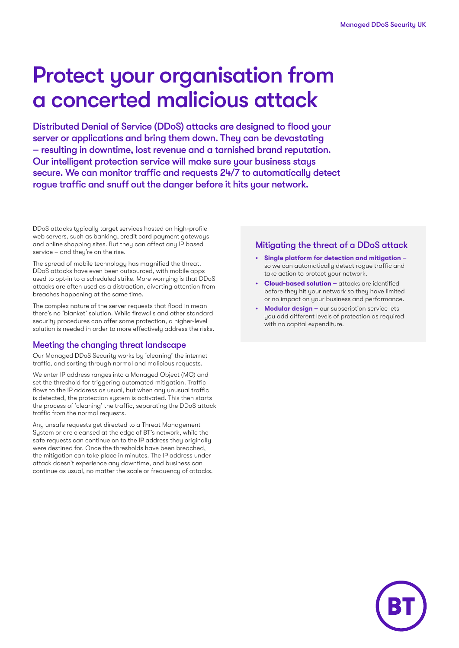# Protect your organisation from a concerted malicious attack

Distributed Denial of Service (DDoS) attacks are designed to flood your server or applications and bring them down. They can be devastating – resulting in downtime, lost revenue and a tarnished brand reputation. Our intelligent protection service will make sure your business stays secure. We can monitor traffic and requests 24/7 to automatically detect rogue traffic and snuff out the danger before it hits your network.

DDoS attacks typically target services hosted on high-profile web servers, such as banking, credit card payment gateways and online shopping sites. But they can affect any IP based service – and they're on the rise.

The spread of mobile technology has magnified the threat. DDoS attacks have even been outsourced, with mobile apps used to opt-in to a scheduled strike. More worrying is that DDoS attacks are often used as a distraction, diverting attention from breaches happening at the same time.

The complex nature of the server requests that flood in mean there's no 'blanket' solution. While firewalls and other standard security procedures can offer some protection, a higher-level solution is needed in order to more effectively address the risks.

#### Meeting the changing threat landscape

Our Managed DDoS Security works by 'cleaning' the internet traffic, and sorting through normal and malicious requests.

We enter IP address ranges into a Managed Object (MO) and set the threshold for triggering automated mitigation. Traffic flows to the IP address as usual, but when any unusual traffic is detected, the protection system is activated. This then starts the process of 'cleaning' the traffic, separating the DDoS attack traffic from the normal requests.

Any unsafe requests get directed to a Threat Management System or are cleansed at the edge of BT's network, while the safe requests can continue on to the IP address they originally were destined for. Once the thresholds have been breached, the mitigation can take place in minutes. The IP address under attack doesn't experience any downtime, and business can continue as usual, no matter the scale or frequency of attacks.

#### Mitigating the threat of a DDoS attack

- **• Single platform for detection and mitigation**  so we can automatically detect rogue traffic and take action to protect your network.
- **• Cloud-based solution –** attacks are identified before they hit your network so they have limited or no impact on your business and performance.
- **• Modular design –** our subscription service lets you add different levels of protection as required with no capital expenditure.